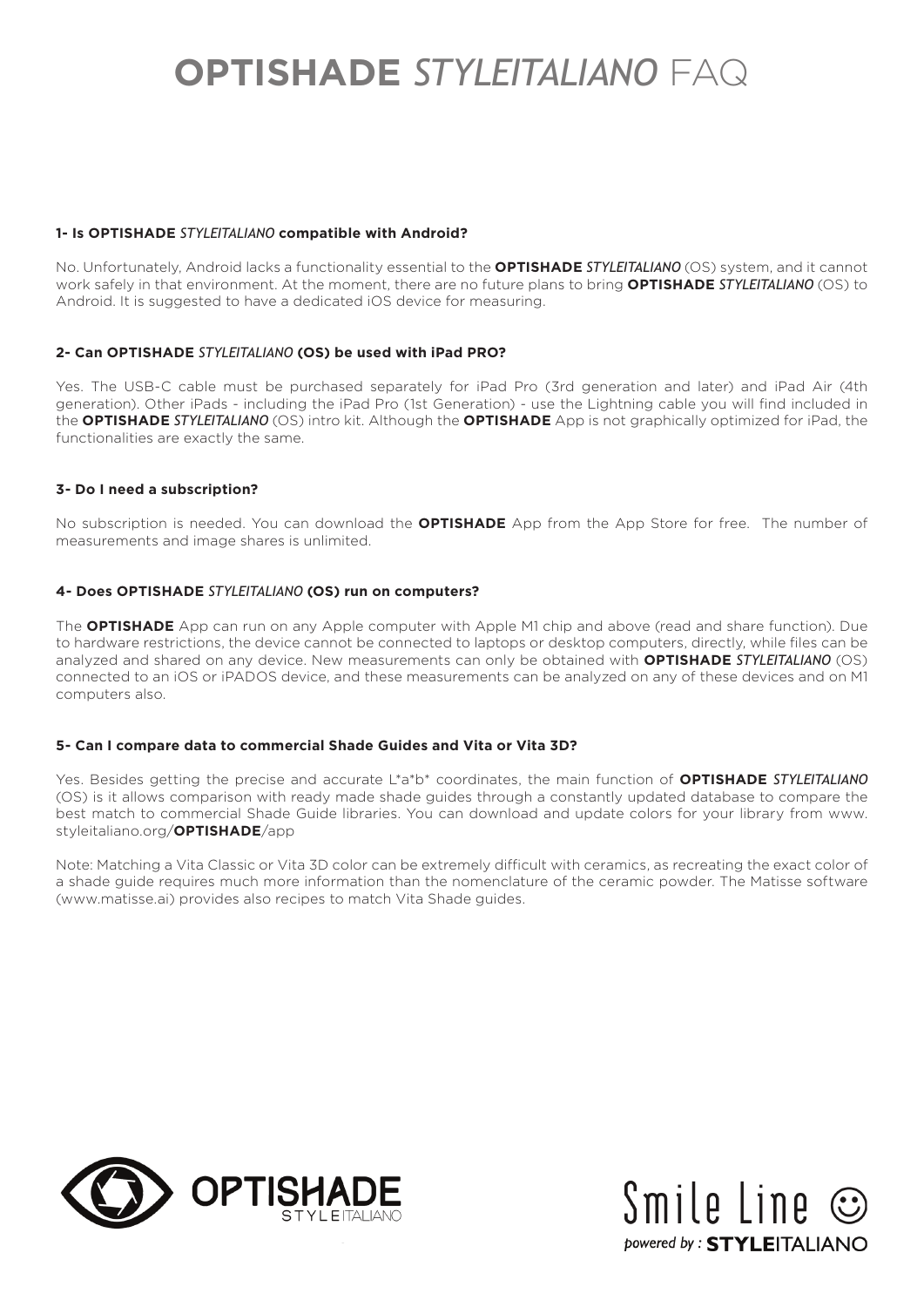## **1- Is OPTISHADE** *STYLEITALIANO* **compatible with Android?**

No. Unfortunately, Android lacks a functionality essential to the **OPTISHADE** *STYLEITALIANO* (OS) system, and it cannot work safely in that environment. At the moment, there are no future plans to bring **OPTISHADE** *STYLEITALIANO* (OS) to Android. It is suggested to have a dedicated iOS device for measuring.

## **2- Can OPTISHADE** *STYLEITALIANO* **(OS) be used with iPad PRO?**

Yes. The USB-C cable must be purchased separately for iPad Pro (3rd generation and later) and iPad Air (4th generation). Other iPads - including the iPad Pro (1st Generation) - use the Lightning cable you will find included in the **OPTISHADE** *STYLEITALIANO* (OS) intro kit. Although the **OPTISHADE** App is not graphically optimized for iPad, the functionalities are exactly the same.

## **3- Do I need a subscription?**

No subscription is needed. You can download the **OPTISHADE** App from the App Store for free. The number of measurements and image shares is unlimited.

## **4- Does OPTISHADE** *STYLEITALIANO* **(OS) run on computers?**

The **OPTISHADE** App can run on any Apple computer with Apple M1 chip and above (read and share function). Due to hardware restrictions, the device cannot be connected to laptops or desktop computers, directly, while files can be analyzed and shared on any device. New measurements can only be obtained with **OPTISHADE** *STYLEITALIANO* (OS) connected to an iOS or iPADOS device, and these measurements can be analyzed on any of these devices and on M1 computers also.

#### **5- Can I compare data to commercial Shade Guides and Vita or Vita 3D?**

Yes. Besides getting the precise and accurate L\*a\*b\* coordinates, the main function of **OPTISHADE** *STYLEITALIANO* (OS) is it allows comparison with ready made shade guides through a constantly updated database to compare the best match to commercial Shade Guide libraries. You can download and update colors for your library from www. styleitaliano.org/**OPTISHADE**/app

Note: Matching a Vita Classic or Vita 3D color can be extremely difficult with ceramics, as recreating the exact color of a shade guide requires much more information than the nomenclature of the ceramic powder. The Matisse software (www.matisse.ai) provides also recipes to match Vita Shade guides.



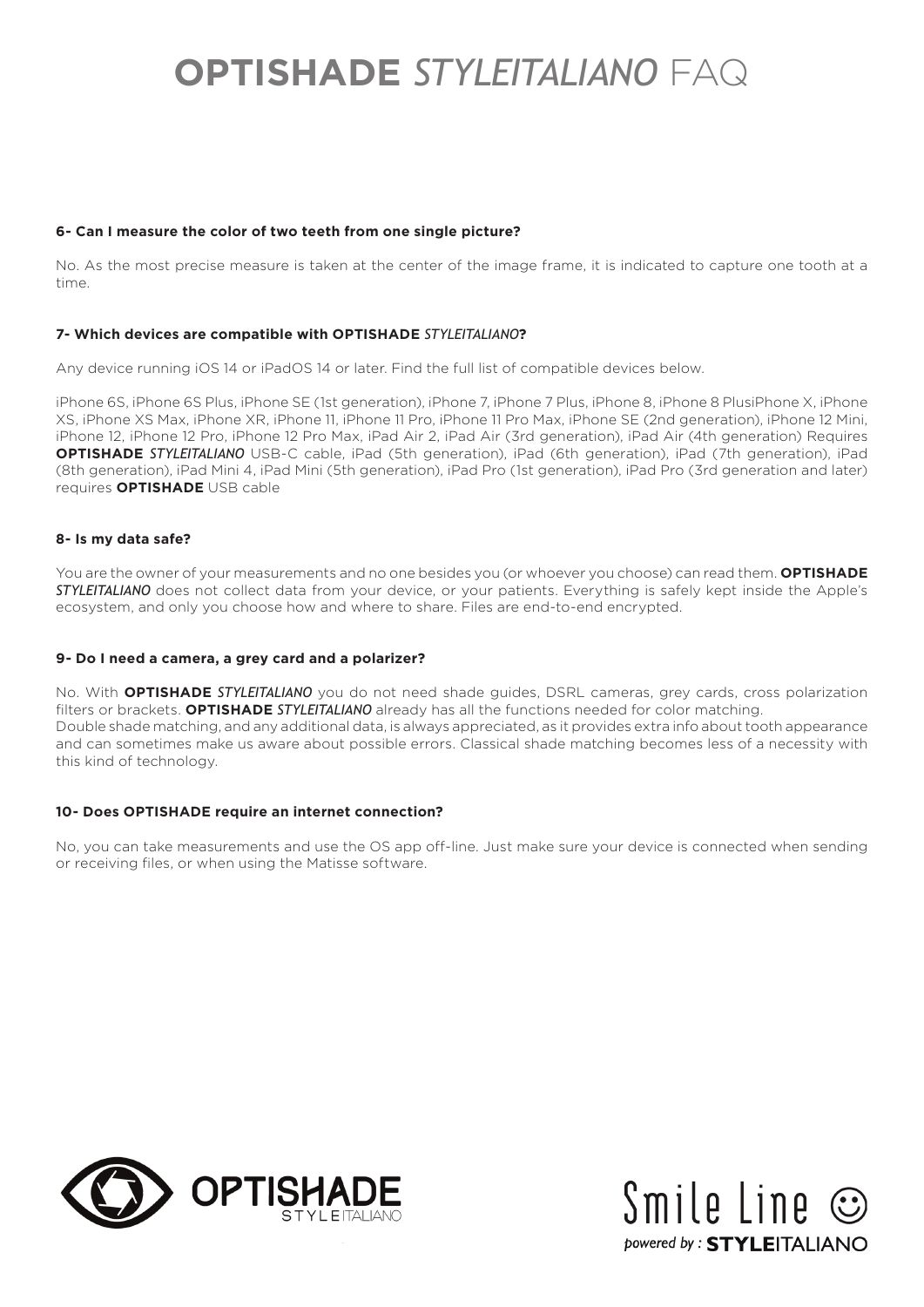# **6- Can I measure the color of two teeth from one single picture?**

No. As the most precise measure is taken at the center of the image frame, it is indicated to capture one tooth at a time.

## **7- Which devices are compatible with OPTISHADE** *STYLEITALIANO***?**

Any device running iOS 14 or iPadOS 14 or later. Find the full list of compatible devices below.

iPhone 6S, iPhone 6S Plus, iPhone SE (1st generation), iPhone 7, iPhone 7 Plus, iPhone 8, iPhone 8 PlusiPhone X, iPhone XS, iPhone XS Max, iPhone XR, iPhone 11, iPhone 11 Pro, iPhone 11 Pro Max, iPhone SE (2nd generation), iPhone 12 Mini, iPhone 12, iPhone 12 Pro, iPhone 12 Pro Max, iPad Air 2, iPad Air (3rd generation), iPad Air (4th generation) Requires **OPTISHADE** *STYLEITALIANO* USB-C cable, iPad (5th generation), iPad (6th generation), iPad (7th generation), iPad (8th generation), iPad Mini 4, iPad Mini (5th generation), iPad Pro (1st generation), iPad Pro (3rd generation and later) requires **OPTISHADE** USB cable

#### **8- Is my data safe?**

You are the owner of your measurements and no one besides you (or whoever you choose) can read them. **OPTISHADE** *STYLEITALIANO* does not collect data from your device, or your patients. Everything is safely kept inside the Apple's ecosystem, and only you choose how and where to share. Files are end-to-end encrypted.

#### **9- Do I need a camera, a grey card and a polarizer?**

No. With **OPTISHADE** *STYLEITALIANO* you do not need shade guides, DSRL cameras, grey cards, cross polarization filters or brackets. **OPTISHADE** *STYLEITALIANO* already has all the functions needed for color matching. Double shade matching, and any additional data, is always appreciated, as it provides extra info about tooth appearance and can sometimes make us aware about possible errors. Classical shade matching becomes less of a necessity with this kind of technology.

#### **10- Does OPTISHADE require an internet connection?**

No, you can take measurements and use the OS app off-line. Just make sure your device is connected when sending or receiving files, or when using the Matisse software.



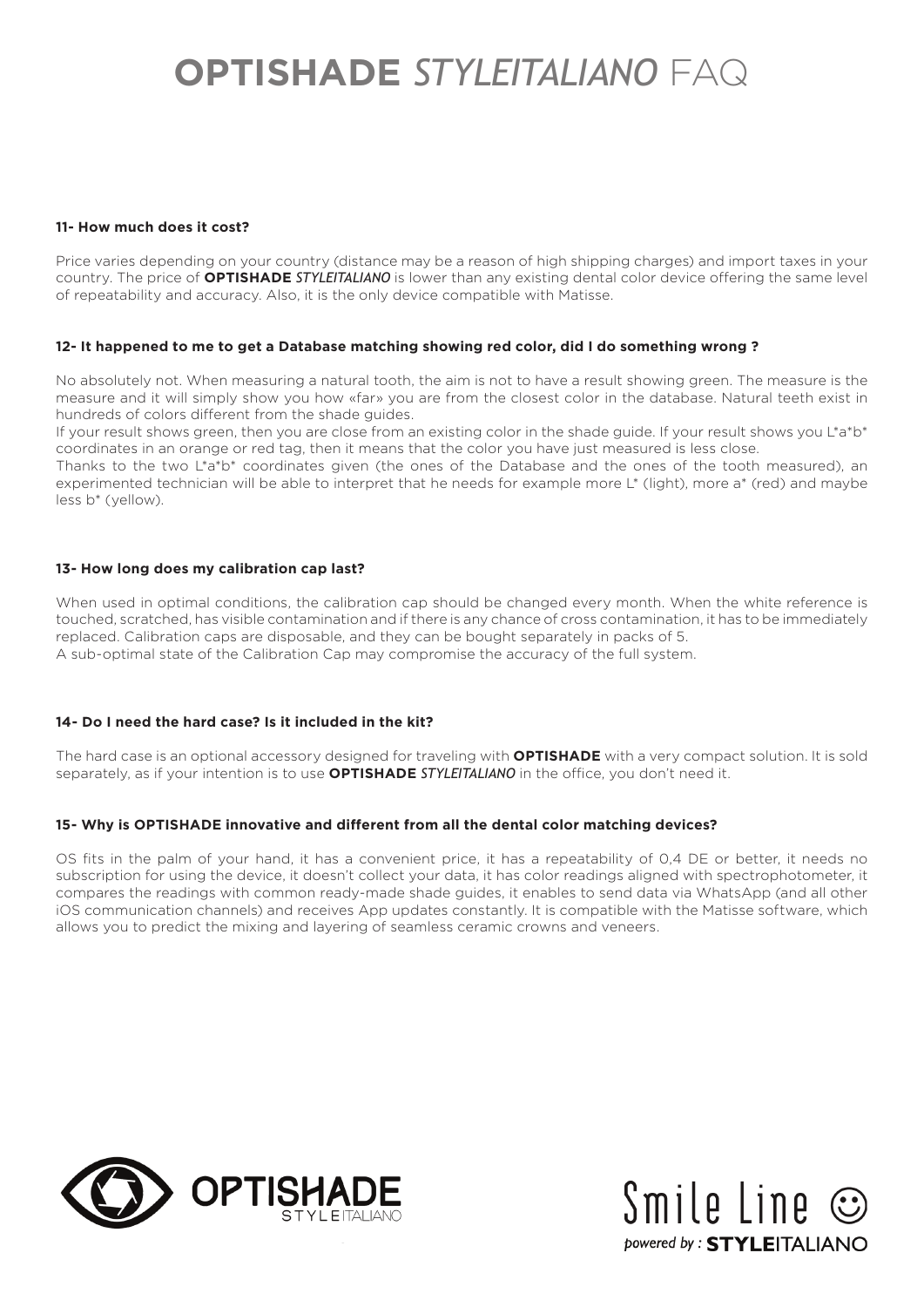## **11- How much does it cost?**

Price varies depending on your country (distance may be a reason of high shipping charges) and import taxes in your country. The price of **OPTISHADE** *STYLEITALIANO* is lower than any existing dental color device offering the same level of repeatability and accuracy. Also, it is the only device compatible with Matisse.

## **12- It happened to me to get a Database matching showing red color, did I do something wrong ?**

No absolutely not. When measuring a natural tooth, the aim is not to have a result showing green. The measure is the measure and it will simply show you how «far» you are from the closest color in the database. Natural teeth exist in hundreds of colors different from the shade guides.

If your result shows green, then you are close from an existing color in the shade guide. If your result shows you L\*a\*b\* coordinates in an orange or red tag, then it means that the color you have just measured is less close.

Thanks to the two L\*a\*b\* coordinates given (the ones of the Database and the ones of the tooth measured), an experimented technician will be able to interpret that he needs for example more L\* (light), more a\* (red) and maybe less b\* (yellow).

#### **13- How long does my calibration cap last?**

When used in optimal conditions, the calibration cap should be changed every month. When the white reference is touched, scratched, has visible contamination and if there is any chance of cross contamination, it has to be immediately replaced. Calibration caps are disposable, and they can be bought separately in packs of 5. A sub-optimal state of the Calibration Cap may compromise the accuracy of the full system.

# **14- Do I need the hard case? Is it included in the kit?**

The hard case is an optional accessory designed for traveling with **OPTISHADE** with a very compact solution. It is sold separately, as if your intention is to use **OPTISHADE** *STYLEITALIANO* in the office, you don't need it.

# **15- Why is OPTISHADE innovative and different from all the dental color matching devices?**

OS fits in the palm of your hand, it has a convenient price, it has a repeatability of 0,4 DE or better, it needs no subscription for using the device, it doesn't collect your data, it has color readings aligned with spectrophotometer, it compares the readings with common ready-made shade guides, it enables to send data via WhatsApp (and all other iOS communication channels) and receives App updates constantly. It is compatible with the Matisse software, which allows you to predict the mixing and layering of seamless ceramic crowns and veneers.



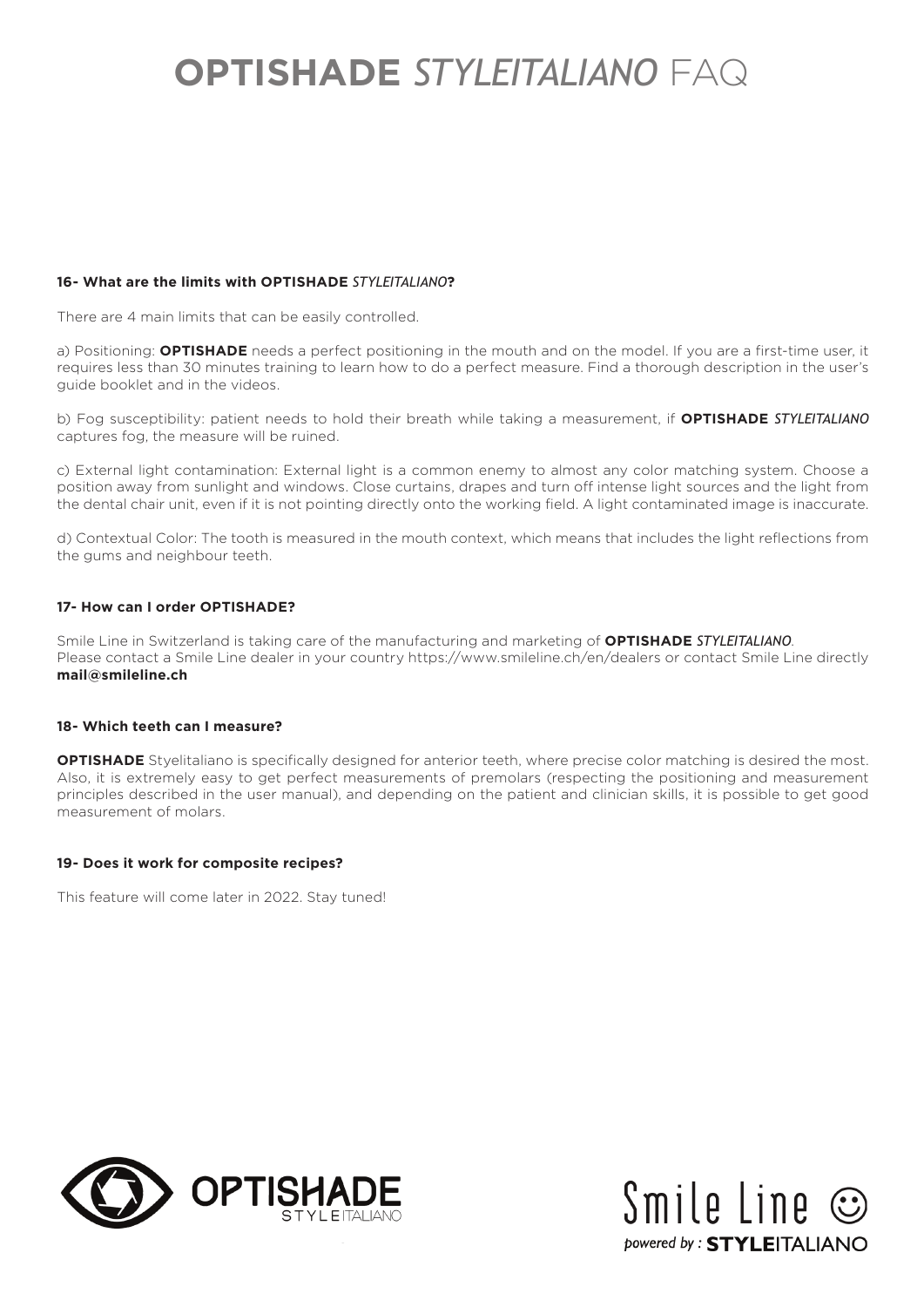# **16- What are the limits with OPTISHADE** *STYLEITALIANO***?**

There are 4 main limits that can be easily controlled.

a) Positioning: **OPTISHADE** needs a perfect positioning in the mouth and on the model. If you are a first-time user, it requires less than 30 minutes training to learn how to do a perfect measure. Find a thorough description in the user's guide booklet and in the videos.

b) Fog susceptibility: patient needs to hold their breath while taking a measurement, if **OPTISHADE** *STYLEITALIANO* captures fog, the measure will be ruined.

c) External light contamination: External light is a common enemy to almost any color matching system. Choose a position away from sunlight and windows. Close curtains, drapes and turn off intense light sources and the light from the dental chair unit, even if it is not pointing directly onto the working field. A light contaminated image is inaccurate.

d) Contextual Color: The tooth is measured in the mouth context, which means that includes the light reflections from the gums and neighbour teeth.

# **17- How can I order OPTISHADE?**

Smile Line in Switzerland is taking care of the manufacturing and marketing of **OPTISHADE** *STYLEITALIANO*. Please contact a Smile Line dealer in your country https://www.smileline.ch/en/dealers or contact Smile Line directly **mail@smileline.ch**

# **18- Which teeth can I measure?**

**OPTISHADE** Styelitaliano is specifically designed for anterior teeth, where precise color matching is desired the most. Also, it is extremely easy to get perfect measurements of premolars (respecting the positioning and measurement principles described in the user manual), and depending on the patient and clinician skills, it is possible to get good measurement of molars.

#### **19- Does it work for composite recipes?**

This feature will come later in 2022. Stay tuned!